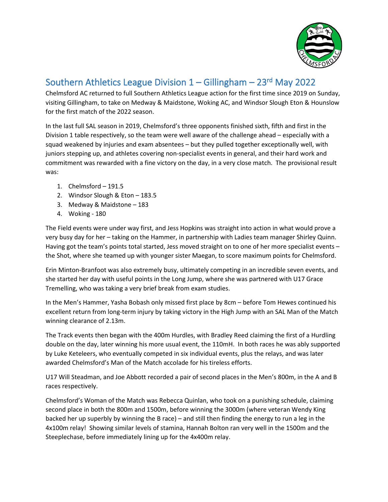

## Southern Athletics League Division 1 – Gillingham – 23<sup>rd</sup> May 2022

Chelmsford AC returned to full Southern Athletics League action for the first time since 2019 on Sunday, visiting Gillingham, to take on Medway & Maidstone, Woking AC, and Windsor Slough Eton & Hounslow for the first match of the 2022 season.

In the last full SAL season in 2019, Chelmsford's three opponents finished sixth, fifth and first in the Division 1 table respectively, so the team were well aware of the challenge ahead – especially with a squad weakened by injuries and exam absentees – but they pulled together exceptionally well, with juniors stepping up, and athletes covering non-specialist events in general, and their hard work and commitment was rewarded with a fine victory on the day, in a very close match. The provisional result was:

- 1. Chelmsford 191.5
- 2. Windsor Slough & Eton 183.5
- 3. Medway & Maidstone 183
- 4. Woking 180

The Field events were under way first, and Jess Hopkins was straight into action in what would prove a very busy day for her – taking on the Hammer, in partnership with Ladies team manager Shirley Quinn. Having got the team's points total started, Jess moved straight on to one of her more specialist events – the Shot, where she teamed up with younger sister Maegan, to score maximum points for Chelmsford.

Erin Minton-Branfoot was also extremely busy, ultimately competing in an incredible seven events, and she started her day with useful points in the Long Jump, where she was partnered with U17 Grace Tremelling, who was taking a very brief break from exam studies.

In the Men's Hammer, Yasha Bobash only missed first place by 8cm – before Tom Hewes continued his excellent return from long-term injury by taking victory in the High Jump with an SAL Man of the Match winning clearance of 2.13m.

The Track events then began with the 400m Hurdles, with Bradley Reed claiming the first of a Hurdling double on the day, later winning his more usual event, the 110mH. In both races he was ably supported by Luke Keteleers, who eventually competed in six individual events, plus the relays, and was later awarded Chelmsford's Man of the Match accolade for his tireless efforts.

U17 Will Steadman, and Joe Abbott recorded a pair of second places in the Men's 800m, in the A and B races respectively.

Chelmsford's Woman of the Match was Rebecca Quinlan, who took on a punishing schedule, claiming second place in both the 800m and 1500m, before winning the 3000m (where veteran Wendy King backed her up superbly by winning the B race) – and still then finding the energy to run a leg in the 4x100m relay! Showing similar levels of stamina, Hannah Bolton ran very well in the 1500m and the Steeplechase, before immediately lining up for the 4x400m relay.